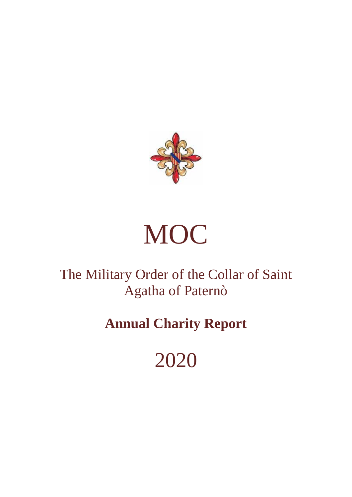

# MOC

# The Military Order of the Collar of Saint Agatha of Paternò

# **Annual Charity Report**

# 2020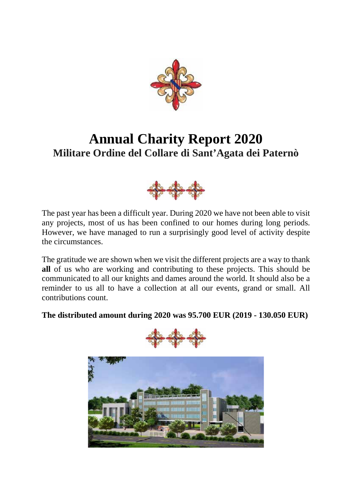

# **Annual Charity Report 2020 Militare Ordine del Collare di Sant'Agata dei Paternò**



The past year has been a difficult year. During 2020 we have not been able to visit any projects, most of us has been confined to our homes during long periods. However, we have managed to run a surprisingly good level of activity despite the circumstances.

The gratitude we are shown when we visit the different projects are a way to thank **all** of us who are working and contributing to these projects. This should be communicated to all our knights and dames around the world. It should also be a reminder to us all to have a collection at all our events, grand or small. All contributions count.

#### **The distributed amount during 2020 was 95.700 EUR (2019 - 130.050 EUR)**



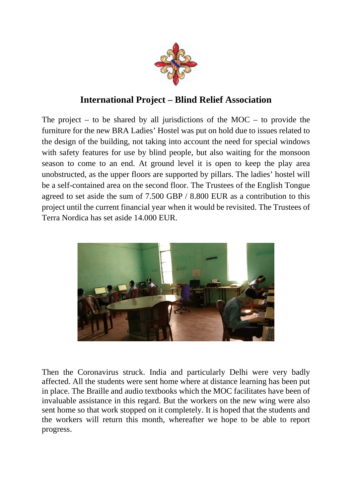

### **International Project – Blind Relief Association**

The project – to be shared by all jurisdictions of the  $MOC$  – to provide the furniture for the new BRA Ladies' Hostel was put on hold due to issues related to the design of the building, not taking into account the need for special windows with safety features for use by blind people, but also waiting for the monsoon season to come to an end. At ground level it is open to keep the play area unobstructed, as the upper floors are supported by pillars. The ladies' hostel will be a self-contained area on the second floor. The Trustees of the English Tongue agreed to set aside the sum of 7.500 GBP / 8.800 EUR as a contribution to this project until the current financial year when it would be revisited. The Trustees of Terra Nordica has set aside 14.000 EUR.



Then the Coronavirus struck. India and particularly Delhi were very badly affected. All the students were sent home where at distance learning has been put in place. The Braille and audio textbooks which the MOC facilitates have been of invaluable assistance in this regard. But the workers on the new wing were also sent home so that work stopped on it completely. It is hoped that the students and the workers will return this month, whereafter we hope to be able to report progress.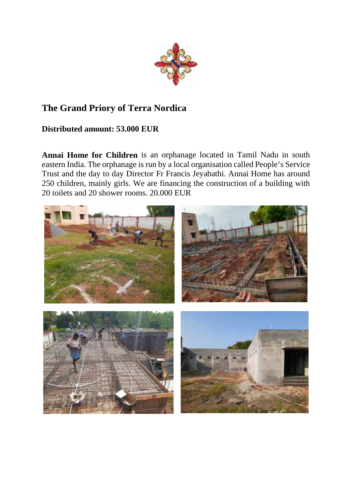

## **The Grand Priory of Terra Nordica**

#### **Distributed amount: 53.000 EUR**

**Annai Home for Children** is an orphanage located in Tamil Nadu in south eastern India. The orphanage is run by a local organisation called People's Service Trust and the day to day Director Fr Francis Jeyabathi. Annai Home has around 250 children, mainly girls. We are financing the construction of a building with 20 toilets and 20 shower rooms. 20.000 EUR

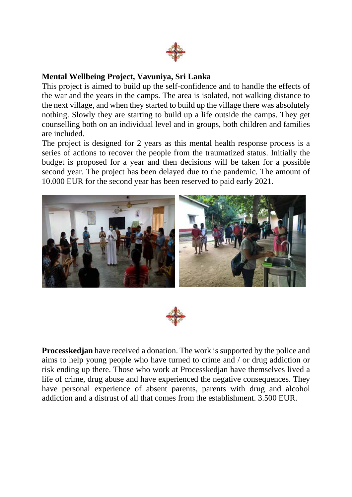

#### **Mental Wellbeing Project, Vavuniya, Sri Lanka**

This project is aimed to build up the self-confidence and to handle the effects of the war and the years in the camps. The area is isolated, not walking distance to the next village, and when they started to build up the village there was absolutely nothing. Slowly they are starting to build up a life outside the camps. They get counselling both on an individual level and in groups, both children and families are included.

The project is designed for 2 years as this mental health response process is a series of actions to recover the people from the traumatized status. Initially the budget is proposed for a year and then decisions will be taken for a possible second year. The project has been delayed due to the pandemic. The amount of 10.000 EUR for the second year has been reserved to paid early 2021.





**Processkedjan** have received a donation. The work is supported by the police and aims to help young people who have turned to crime and / or drug addiction or risk ending up there. Those who work at Processkedjan have themselves lived a life of crime, drug abuse and have experienced the negative consequences. They have personal experience of absent parents, parents with drug and alcohol addiction and a distrust of all that comes from the establishment. 3.500 EUR.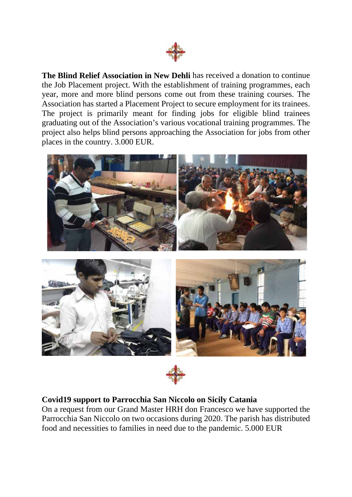

**The Blind Relief Association in New Dehli** has received a donation to continue the Job Placement project. With the establishment of training programmes, each year, more and more blind persons come out from these training courses. The Association has started a Placement Project to secure employment for its trainees. The project is primarily meant for finding jobs for eligible blind trainees graduating out of the Association's various vocational training programmes. The project also helps blind persons approaching the Association for jobs from other places in the country. 3.000 EUR.





#### **Covid19 support to Parrocchia San Niccolo on Sicily Catania**

On a request from our Grand Master HRH don Francesco we have supported the Parrocchia San Niccolo on two occasions during 2020. The parish has distributed food and necessities to families in need due to the pandemic. 5.000 EUR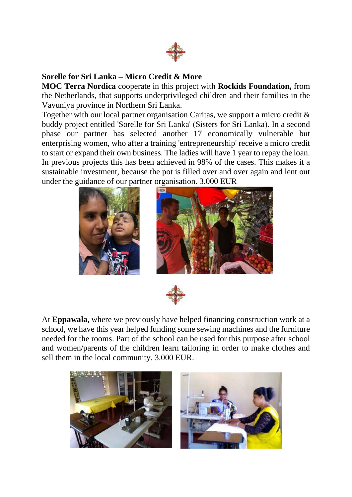

#### **Sorelle for Sri Lanka – Micro Credit & More**

**MOC Terra Nordica** cooperate in this project with **Rockids Foundation,** from the Netherlands, that supports underprivileged children and their families in the Vavuniya province in Northern Sri Lanka.

Together with our local partner organisation Caritas, we support a micro credit & buddy project entitled 'Sorelle for Sri Lanka' (Sisters for Sri Lanka). In a second phase our partner has selected another 17 economically vulnerable but enterprising women, who after a training 'entrepreneurship' receive a micro credit to start or expand their own business. The ladies will have 1 year to repay the loan. In previous projects this has been achieved in 98% of the cases. This makes it a sustainable investment, because the pot is filled over and over again and lent out under the guidance of our partner organisation. 3.000 EUR





At **Eppawala,** where we previously have helped financing construction work at a school, we have this year helped funding some sewing machines and the furniture needed for the rooms. Part of the school can be used for this purpose after school and women/parents of the children learn tailoring in order to make clothes and sell them in the local community. 3.000 EUR.

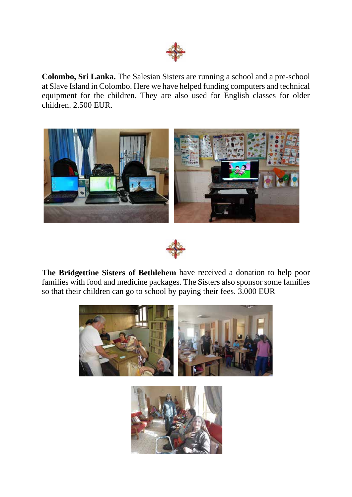

**Colombo, Sri Lanka.** The Salesian Sisters are running a school and a pre-school at Slave Island in Colombo. Here we have helped funding computers and technical equipment for the children. They are also used for English classes for older children. 2.500 EUR.





**The Bridgettine Sisters of Bethlehem** have received a donation to help poor families with food and medicine packages. The Sisters also sponsor some families so that their children can go to school by paying their fees. 3.000 EUR

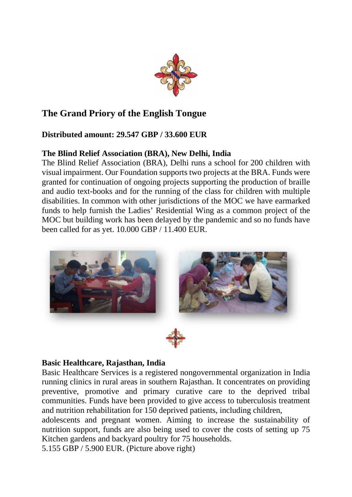

# **The Grand Priory of the English Tongue**

### **Distributed amount: 29.547 GBP / 33.600 EUR**

#### **The Blind Relief Association (BRA), New Delhi, India**

The Blind Relief Association (BRA), Delhi runs a school for 200 children with visual impairment. Our Foundation supports two projects at the BRA. Funds were granted for continuation of ongoing projects supporting the production of braille and audio text-books and for the running of the class for children with multiple disabilities. In common with other jurisdictions of the MOC we have earmarked funds to help furnish the Ladies' Residential Wing as a common project of the MOC but building work has been delayed by the pandemic and so no funds have been called for as yet. 10.000 GBP / 11.400 EUR.



#### **Basic Healthcare, Rajasthan, India**

Basic Healthcare Services is a registered nongovernmental organization in India running clinics in rural areas in southern Rajasthan. It concentrates on providing preventive, promotive and primary curative care to the deprived tribal communities. Funds have been provided to give access to tuberculosis treatment and nutrition rehabilitation for 150 deprived patients, including children,

adolescents and pregnant women. Aiming to increase the sustainability of nutrition support, funds are also being used to cover the costs of setting up 75 Kitchen gardens and backyard poultry for 75 households.

5.155 GBP / 5.900 EUR. (Picture above right)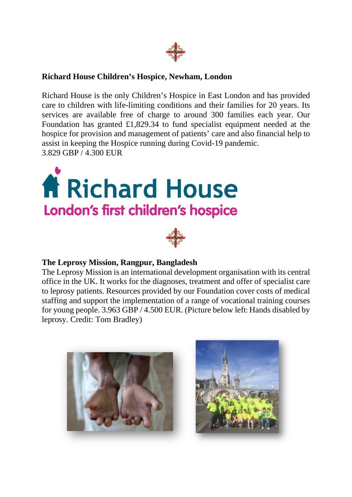

#### **Richard House Children's Hospice, Newham, London**

Richard House is the only Children's Hospice in East London and has provided care to children with life-limiting conditions and their families for 20 years. Its services are available free of charge to around 300 families each year. Our Foundation has granted £1,829.34 to fund specialist equipment needed at the hospice for provision and management of patients' care and also financial help to assist in keeping the Hospice running during Covid-19 pandemic. 3.829 GBP / 4.300 EUR





#### **The Leprosy Mission, Rangpur, Bangladesh**

The Leprosy Mission is an international development organisation with its central office in the UK. It works for the diagnoses, treatment and offer of specialist care to leprosy patients. Resources provided by our Foundation cover costs of medical staffing and support the implementation of a range of vocational training courses for young people. 3.963 GBP / 4.500 EUR. (Picture below left: Hands disabled by leprosy. Credit: Tom Bradley)

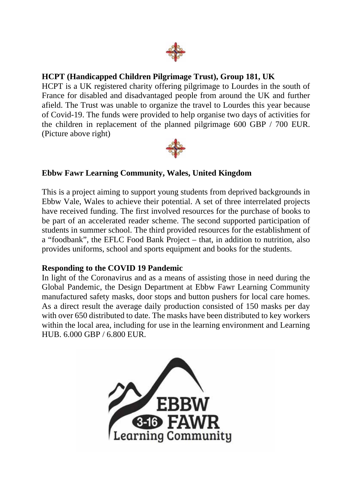

#### **HCPT (Handicapped Children Pilgrimage Trust), Group 181, UK**

HCPT is a UK registered charity offering pilgrimage to Lourdes in the south of France for disabled and disadvantaged people from around the UK and further afield. The Trust was unable to organize the travel to Lourdes this year because of Covid-19. The funds were provided to help organise two days of activities for the children in replacement of the planned pilgrimage 600 GBP / 700 EUR. (Picture above right)



#### **Ebbw Fawr Learning Community, Wales, United Kingdom**

This is a project aiming to support young students from deprived backgrounds in Ebbw Vale, Wales to achieve their potential. A set of three interrelated projects have received funding. The first involved resources for the purchase of books to be part of an accelerated reader scheme. The second supported participation of students in summer school. The third provided resources for the establishment of a "foodbank", the EFLC Food Bank Project – that, in addition to nutrition, also provides uniforms, school and sports equipment and books for the students.

#### **Responding to the COVID 19 Pandemic**

In light of the Coronavirus and as a means of assisting those in need during the Global Pandemic, the Design Department at Ebbw Fawr Learning Community manufactured safety masks, door stops and button pushers for local care homes. As a direct result the average daily production consisted of 150 masks per day with over 650 distributed to date. The masks have been distributed to key workers within the local area, including for use in the learning environment and Learning HUB. 6.000 GBP / 6.800 EUR.

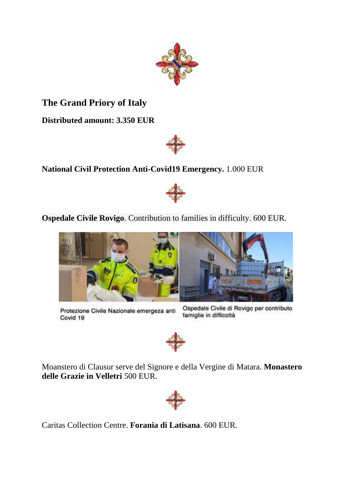

**The Grand Priory of Italy**

**Distributed amount: 3.350 EUR**



## **National Civil Protection Anti-Covid19 Emergency.** 1.000 EUR



**Ospedale Civile Rovigo**. Contribution to families in difficulty. 600 EUR.



Protezione Civile Nazionale emergeza anti Covid 19



Ospedale Civile di Rovigo per contributo famiglie in difficoltà



Moanstero di Clausur serve del Signore e della Vergine di Matara. **Monastero delle Grazie in Velletri** 500 EUR.



Caritas Collection Centre. **Forania di Latisana**. 600 EUR.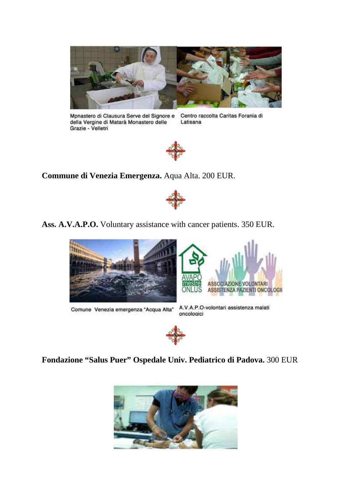

Mpnastero di Clausura Serve del Signore e della Vergine di Matarà Monastero delle Grazie - Velletri

Centro raccolta Caritas Forania di Latisana



**Commune di Venezia Emergenza.** Aqua Alta. 200 EUR.



**Ass. A.V.A.P.O.** Voluntary assistance with cancer patients. 350 EUR.





**Fondazione "Salus Puer" Ospedale Univ. Pediatrico di Padova.** 300 EUR

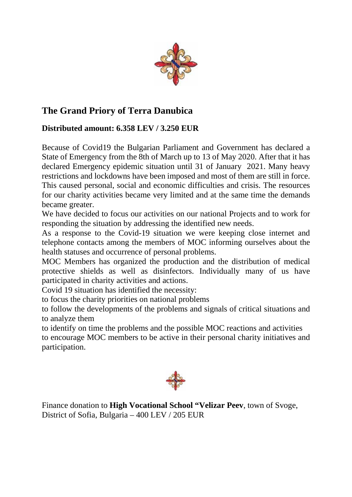

# **The Grand Priory of Terra Danubica**

#### **Distributed amount: 6.358 LEV / 3.250 EUR**

Because of Covid19 the Bulgarian Parliament and Government has declared a State of Emergency from the 8th of March up to 13 of May 2020. After that it has declared Emergency epidemic situation until 31 of January 2021. Many heavy restrictions and lockdowns have been imposed and most of them are still in force. This caused personal, social and economic difficulties and crisis. The resources for our charity activities became very limited and at the same time the demands became greater.

We have decided to focus our activities on our national Projects and to work for responding the situation by addressing the identified new needs.

As a response to the Covid-19 situation we were keeping close internet and telephone contacts among the members of MOC informing ourselves about the health statuses and occurrence of personal problems.

MOC Members has organized the production and the distribution of medical protective shields as well as disinfectors. Individually many of us have participated in charity activities and actions.

Covid 19 situation has identified the necessity:

to focus the charity priorities on national problems

to follow the developments of the problems and signals of critical situations and to analyze them

to identify on time the problems and the possible MOC reactions and activities to encourage MOC members to be active in their personal charity initiatives and participation.



Finance donation to **High Vocational School "Velizar Peev**, town of Svoge, District of Sofia, Bulgaria – 400 LEV / 205 EUR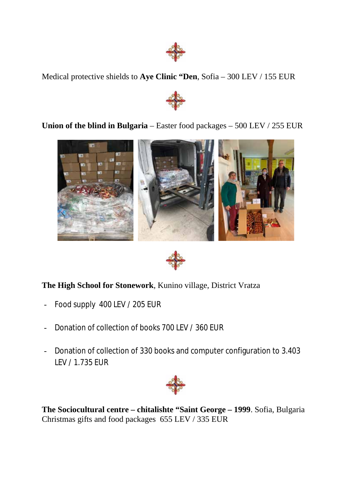

Medical protective shields to **Aye Clinic "Den**, Sofia – 300 LEV / 155 EUR



**Union of the blind in Bulgaria** – Easter food packages – 500 LEV / 255 EUR





#### **The High School for Stonework**, Kunino village, District Vratza

- Food supply 400 LEV / 205 EUR
- Donation of collection of books 700 LEV / 360 EUR
- Donation of collection of 330 books and computer configuration to 3.403 LEV / 1.735 EUR



**The Sociocultural centre – chitalishte "Saint George – 1999**. Sofia, Bulgaria Christmas gifts and food packages 655 LEV / 335 EUR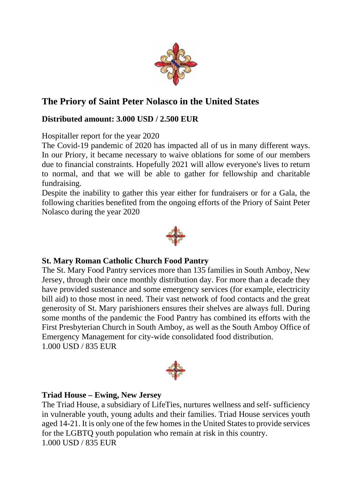

# **The Priory of Saint Peter Nolasco in the United States**

#### **Distributed amount: 3.000 USD / 2.500 EUR**

Hospitaller report for the year 2020

The Covid-19 pandemic of 2020 has impacted all of us in many different ways. In our Priory, it became necessary to waive oblations for some of our members due to financial constraints. Hopefully 2021 will allow everyone's lives to return to normal, and that we will be able to gather for fellowship and charitable fundraising.

Despite the inability to gather this year either for fundraisers or for a Gala, the following charities benefited from the ongoing efforts of the Priory of Saint Peter Nolasco during the year 2020



#### **St. Mary Roman Catholic Church Food Pantry**

The St. Mary Food Pantry services more than 135 families in South Amboy, New Jersey, through their once monthly distribution day. For more than a decade they have provided sustenance and some emergency services (for example, electricity bill aid) to those most in need. Their vast network of food contacts and the great generosity of St. Mary parishioners ensures their shelves are always full. During some months of the pandemic the Food Pantry has combined its efforts with the First Presbyterian Church in South Amboy, as well as the South Amboy Office of Emergency Management for city-wide consolidated food distribution. 1.000 USD / 835 EUR



#### **Triad House – Ewing, New Jersey**

The Triad House, a subsidiary of LifeTies, nurtures wellness and self- sufficiency in vulnerable youth, young adults and their families. Triad House services youth aged 14-21. It is only one of the few homes in the United States to provide services for the LGBTQ youth population who remain at risk in this country. 1.000 USD / 835 EUR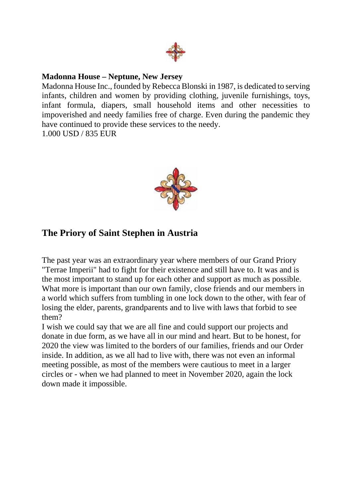

#### **Madonna House – Neptune, New Jersey**

Madonna House Inc., founded by Rebecca Blonski in 1987, is dedicated to serving infants, children and women by providing clothing, juvenile furnishings, toys, infant formula, diapers, small household items and other necessities to impoverished and needy families free of charge. Even during the pandemic they have continued to provide these services to the needy. 1.000 USD / 835 EUR



## **The Priory of Saint Stephen in Austria**

The past year was an extraordinary year where members of our Grand Priory "Terrae Imperii" had to fight for their existence and still have to. It was and is the most important to stand up for each other and support as much as possible. What more is important than our own family, close friends and our members in a world which suffers from tumbling in one lock down to the other, with fear of losing the elder, parents, grandparents and to live with laws that forbid to see them?

I wish we could say that we are all fine and could support our projects and donate in due form, as we have all in our mind and heart. But to be honest, for 2020 the view was limited to the borders of our families, friends and our Order inside. In addition, as we all had to live with, there was not even an informal meeting possible, as most of the members were cautious to meet in a larger circles or - when we had planned to meet in November 2020, again the lock down made it impossible.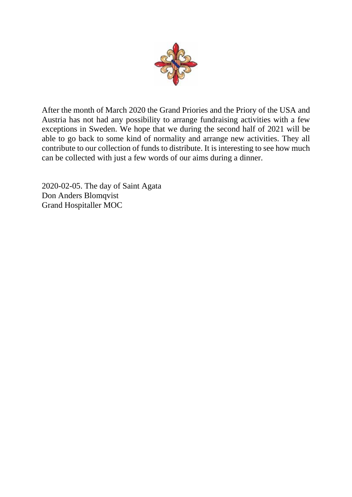

After the month of March 2020 the Grand Priories and the Priory of the USA and Austria has not had any possibility to arrange fundraising activities with a few exceptions in Sweden. We hope that we during the second half of 2021 will be able to go back to some kind of normality and arrange new activities. They all contribute to our collection of funds to distribute. It is interesting to see how much can be collected with just a few words of our aims during a dinner.

2020-02-05. The day of Saint Agata Don Anders Blomqvist Grand Hospitaller MOC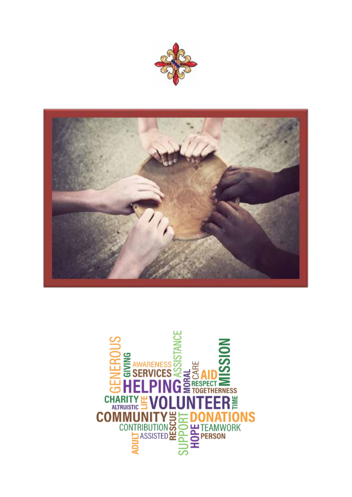